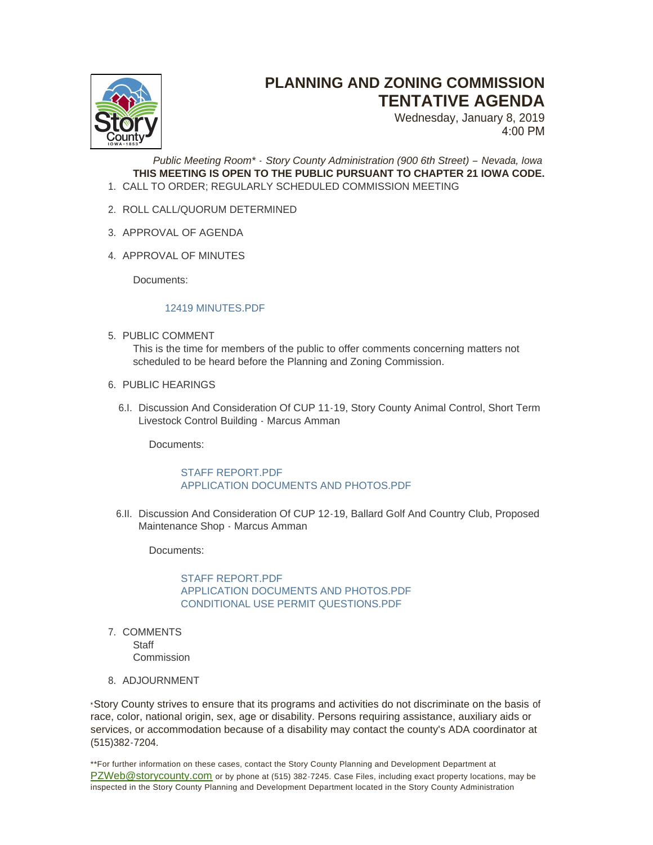

## **PLANNING AND ZONING COMMISSION TENTATIVE AGENDA**

Wednesday, January 8, 2019 4:00 PM

*Public Meeting Room\* - Story County Administration (900 6th Street) – Nevada, Iowa* **THIS MEETING IS OPEN TO THE PUBLIC PURSUANT TO CHAPTER 21 IOWA CODE.** CALL TO ORDER; REGULARLY SCHEDULED COMMISSION MEETING 1.

- 2. ROLL CALL/QUORUM DETERMINED
- 3. APPROVAL OF AGENDA
- 4. APPROVAL OF MINUTES

Documents:

## [12419 MINUTES.PDF](http://www.storycountyiowa.gov/AgendaCenter/ViewFile/Item/16383?fileID=12708)

- 5. PUBLIC COMMENT This is the time for members of the public to offer comments concerning matters not scheduled to be heard before the Planning and Zoning Commission.
- 6. PUBLIC HEARINGS
	- 6.I. Discussion And Consideration Of CUP 11-19, Story County Animal Control, Short Term Livestock Control Building - Marcus Amman

Documents:

## [STAFF REPORT.PDF](http://www.storycountyiowa.gov/AgendaCenter/ViewFile/Item/16374?fileID=12709) [APPLICATION DOCUMENTS AND PHOTOS.PDF](http://www.storycountyiowa.gov/AgendaCenter/ViewFile/Item/16374?fileID=12706)

6.II. Discussion And Consideration Of CUP 12-19, Ballard Golf And Country Club, Proposed Maintenance Shop - Marcus Amman

Documents:

STAFF REPORT PDF [APPLICATION DOCUMENTS AND PHOTOS.PDF](http://www.storycountyiowa.gov/AgendaCenter/ViewFile/Item/16388?fileID=12719) [CONDITIONAL USE PERMIT QUESTIONS.PDF](http://www.storycountyiowa.gov/AgendaCenter/ViewFile/Item/16388?fileID=12718)

- 7. COMMENTS **Staff Commission**
- 8. ADJOURNMENT

\*Story County strives to ensure that its programs and activities do not discriminate on the basis of race, color, national origin, sex, age or disability. Persons requiring assistance, auxiliary aids or services, or accommodation because of a disability may contact the county's ADA coordinator at (515)382-7204.

\*\*For further information on these cases, contact the Story County Planning and Development Department at [PZWeb@storycounty.com](mailto:PZWeb@storycounty.com) or by phone at (515) 382-7245. Case Files, including exact property locations, may be inspected in the Story County Planning and Development Department located in the Story County Administration